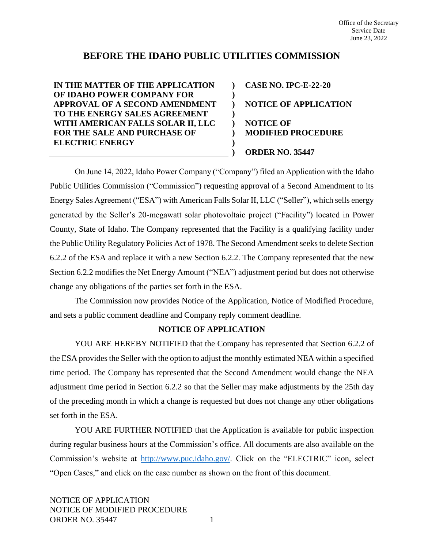# **BEFORE THE IDAHO PUBLIC UTILITIES COMMISSION**

**) ) ) ) ) ) ) )**

**IN THE MATTER OF THE APPLICATION OF IDAHO POWER COMPANY FOR APPROVAL OF A SECOND AMENDMENT TO THE ENERGY SALES AGREEMENT WITH AMERICAN FALLS SOLAR II, LLC FOR THE SALE AND PURCHASE OF ELECTRIC ENERGY**

**CASE NO. IPC-E-22-20 NOTICE OF APPLICATION NOTICE OF MODIFIED PROCEDURE ORDER NO. 35447**

On June 14, 2022, Idaho Power Company ("Company") filed an Application with the Idaho Public Utilities Commission ("Commission") requesting approval of a Second Amendment to its Energy Sales Agreement ("ESA") with American Falls Solar II, LLC ("Seller"), which sells energy generated by the Seller's 20-megawatt solar photovoltaic project ("Facility") located in Power County, State of Idaho. The Company represented that the Facility is a qualifying facility under the Public Utility Regulatory Policies Act of 1978. The Second Amendment seeks to delete Section 6.2.2 of the ESA and replace it with a new Section 6.2.2. The Company represented that the new Section 6.2.2 modifies the Net Energy Amount ("NEA") adjustment period but does not otherwise change any obligations of the parties set forth in the ESA.

The Commission now provides Notice of the Application, Notice of Modified Procedure, and sets a public comment deadline and Company reply comment deadline.

# **NOTICE OF APPLICATION**

YOU ARE HEREBY NOTIFIED that the Company has represented that Section 6.2.2 of the ESA provides the Seller with the option to adjust the monthly estimated NEA within a specified time period. The Company has represented that the Second Amendment would change the NEA adjustment time period in Section 6.2.2 so that the Seller may make adjustments by the 25th day of the preceding month in which a change is requested but does not change any other obligations set forth in the ESA.

YOU ARE FURTHER NOTIFIED that the Application is available for public inspection during regular business hours at the Commission's office. All documents are also available on the Commission's website at [http://www.puc.idaho.gov/.](http://www.puc.idaho.gov/) Click on the "ELECTRIC" icon, select "Open Cases," and click on the case number as shown on the front of this document.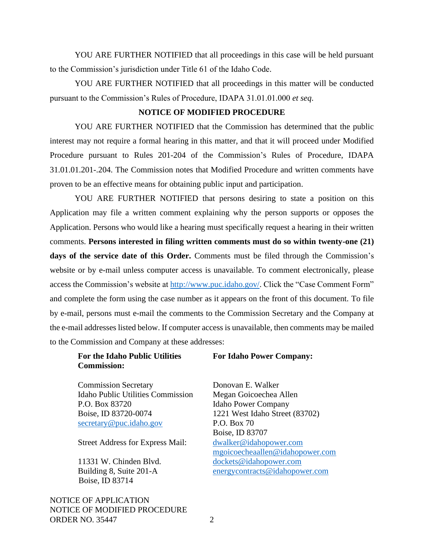YOU ARE FURTHER NOTIFIED that all proceedings in this case will be held pursuant to the Commission's jurisdiction under Title 61 of the Idaho Code.

YOU ARE FURTHER NOTIFIED that all proceedings in this matter will be conducted pursuant to the Commission's Rules of Procedure, IDAPA 31.01.01.000 *et seq*.

#### **NOTICE OF MODIFIED PROCEDURE**

YOU ARE FURTHER NOTIFIED that the Commission has determined that the public interest may not require a formal hearing in this matter, and that it will proceed under Modified Procedure pursuant to Rules 201-204 of the Commission's Rules of Procedure, IDAPA 31.01.01.201-.204. The Commission notes that Modified Procedure and written comments have proven to be an effective means for obtaining public input and participation.

YOU ARE FURTHER NOTIFIED that persons desiring to state a position on this Application may file a written comment explaining why the person supports or opposes the Application. Persons who would like a hearing must specifically request a hearing in their written comments. **Persons interested in filing written comments must do so within twenty-one (21) days of the service date of this Order.** Comments must be filed through the Commission's website or by e-mail unless computer access is unavailable. To comment electronically, please access the Commission's website at [http://www.puc.idaho.gov/.](http://www.puc.idaho.gov/) Click the "Case Comment Form" and complete the form using the case number as it appears on the front of this document. To file by e-mail, persons must e-mail the comments to the Commission Secretary and the Company at the e-mail addresses listed below. If computer access is unavailable, then comments may be mailed to the Commission and Company at these addresses:

## **For the Idaho Public Utilities Commission:**

**For Idaho Power Company:**

Commission Secretary Idaho Public Utilities Commission P.O. Box 83720 Boise, ID 83720-0074 [secretary@puc.idaho.gov](mailto:secretary@puc.idaho.gov)

Street Address for Express Mail:

11331 W. Chinden Blvd. Building 8, Suite 201-A Boise, ID 83714

NOTICE OF APPLICATION NOTICE OF MODIFIED PROCEDURE ORDER NO. 35447 2

Donovan E. Walker Megan Goicoechea Allen Idaho Power Company 1221 West Idaho Street (83702) P.O. Box 70 Boise, ID 83707 [dwalker@idahopower.com](mailto:dwalker@idahopower.com) mgoicoecheaallen@idahopower.com [dockets@idahopower.com](mailto:dockets@idahopower.com) [energycontracts@idahopower.com](mailto:energycontracts@idahopower.com)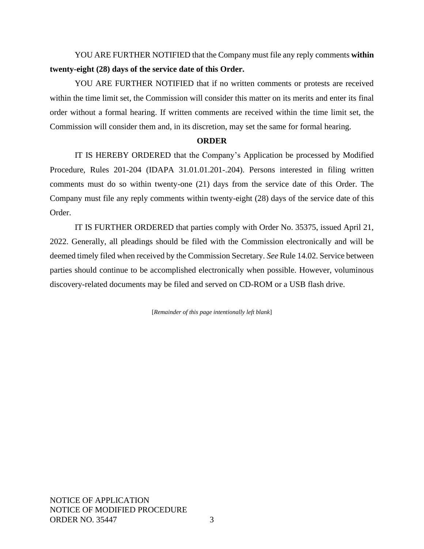YOU ARE FURTHER NOTIFIED that the Company must file any reply comments **within twenty-eight (28) days of the service date of this Order.**

YOU ARE FURTHER NOTIFIED that if no written comments or protests are received within the time limit set, the Commission will consider this matter on its merits and enter its final order without a formal hearing. If written comments are received within the time limit set, the Commission will consider them and, in its discretion, may set the same for formal hearing.

## **ORDER**

IT IS HEREBY ORDERED that the Company's Application be processed by Modified Procedure, Rules 201-204 (IDAPA 31.01.01.201-.204). Persons interested in filing written comments must do so within twenty-one (21) days from the service date of this Order. The Company must file any reply comments within twenty-eight (28) days of the service date of this Order.

IT IS FURTHER ORDERED that parties comply with Order No. 35375, issued April 21, 2022. Generally, all pleadings should be filed with the Commission electronically and will be deemed timely filed when received by the Commission Secretary. *See* Rule 14.02. Service between parties should continue to be accomplished electronically when possible. However, voluminous discovery-related documents may be filed and served on CD-ROM or a USB flash drive.

[*Remainder of this page intentionally left blank*]